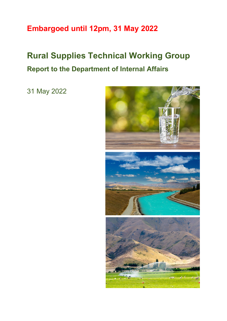# **Embargoed until 12pm, 31 May 2022**

# **Rural Supplies Technical Working Group Report to the Department of Internal Affairs**

31 May 2022

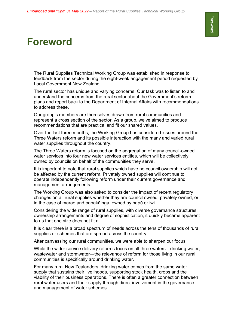# **Foreword**

The Rural Supplies Technical Working Group was established in response to feedback from the sector during the eight-week engagement period requested by Local Government New Zealand.

The rural sector has unique and varying concerns. Our task was to listen to and understand the concerns from the rural sector about the Government's reform plans and report back to the Department of Internal Affairs with recommendations to address these.

Our group's members are themselves drawn from rural communities and represent a cross section of the sector. As a group, we've aimed to produce recommendations that are practical and fit our shared values.

Over the last three months, the Working Group has considered issues around the Three Waters reform and its possible interaction with the many and varied rural water supplies throughout the country.

The Three Waters reform is focused on the aggregation of many council-owned water services into four new water services entities, which will be collectively owned by councils on behalf of the communities they serve.

It is important to note that rural supplies which have no council ownership will not be affected by the current reform. Privately owned supplies will continue to operate independently following reform under their current governance and management arrangements.

The Working Group was also asked to consider the impact of recent regulatory changes on all rural supplies whether they are council owned, privately owned, or in the case of marae and papakāinga, owned by hapū or iwi.

Considering the wide range of rural supplies, with diverse governance structures, ownership arrangements and degree of sophistication, it quickly became apparent to us that one size does not fit all.

It is clear there is a broad spectrum of needs across the tens of thousands of rural supplies or schemes that are spread across the country.

After canvassing our rural communities, we were able to sharpen our focus.

While the wider service delivery reforms focus on all three waters—drinking water, wastewater and stormwater—the relevance of reform for those living in our rural communities is specifically around drinking water.

For many rural New Zealanders, drinking water comes from the same water supply that sustains their livelihoods, supporting stock health, crops and the viability of their business operations. There is often a greater connection between rural water users and their supply through direct involvement in the governance and management of water schemes.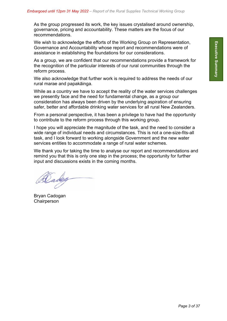As the group progressed its work, the key issues crystalised around ownership, governance, pricing and accountability. These matters are the focus of our recommendations.

We wish to acknowledge the efforts of the Working Group on Representation, Governance and Accountability whose report and recommendations were of assistance in establishing the foundations for our considerations.

As a group, we are confident that our recommendations provide a framework for the recognition of the particular interests of our rural communities through the reform process.

We also acknowledge that further work is required to address the needs of our rural marae and papakāinga.

While as a country we have to accept the reality of the water services challenges we presently face and the need for fundamental change, as a group our consideration has always been driven by the underlying aspiration of ensuring safer, better and affordable drinking water services for all rural New Zealanders.

From a personal perspective, it has been a privilege to have had the opportunity to contribute to the reform process through this working group.

I hope you will appreciate the magnitude of the task, and the need to consider a wide range of individual needs and circumstances. This is not a one-size-fits-all task, and I look forward to working alongside Government and the new water services entities to accommodate a range of rural water schemes.

We thank you for taking the time to analyse our report and recommendations and remind you that this is only one step in the process; the opportunity for further input and discussions exists in the coming months.

Dadeg

Bryan Cadogan **Chairperson**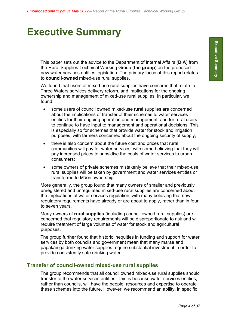# **Executive Summary**

This paper sets out the advice to the Department of Internal Affairs (**DIA**) from the Rural Supplies Technical Working Group (**the group**) on the proposed new water services entities legislation. The primary focus of this report relates to **council-owned** mixed-use rural supplies.

We found that users of mixed-use rural supplies have concerns that relate to Three Waters services delivery reform, and implications for the ongoing ownership and management of mixed-use rural supplies. In particular, we found:

- some users of council owned mixed-use rural supplies are concerned about the implications of transfer of their schemes to water services entities for their ongoing operation and management, and for rural users to continue to have input to management and operational decisions. This is especially so for schemes that provide water for stock and irrigation purposes, with farmers concerned about the ongoing security of supply;
- there is also concern about the future cost and prices that rural communities will pay for water services, with some believing that they will pay increased prices to subsidise the costs of water services to urban consumers;
- some owners of private schemes mistakenly believe that their mixed-use rural supplies will be taken by government and water services entities or transferred to Māori ownership.

More generally, the group found that many owners of smaller and previously unregistered and unregulated mixed-use rural supplies are concerned about the implications of water services regulation, with many believing that new regulatory requirements have already or are about to apply, rather than in four to seven years.

Many owners of **rural supplies** (including council owned rural supplies) are concerned that regulatory requirements will be disproportionate to risk and will require treatment of large volumes of water for stock and agricultural purposes.

The group further found that historic inequities in funding and support for water services by both councils and government mean that many marae and papakāinga drinking water supplies require substantial investment in order to provide consistently safe drinking water.

## **Transfer of council-owned mixed-use rural supplies**

The group recommends that all council owned mixed-use rural supplies should transfer to the water services entities. This is because water services entities, rather than councils, will have the people, resources and expertise to operate these schemes into the future. However, we recommend an ability, in specific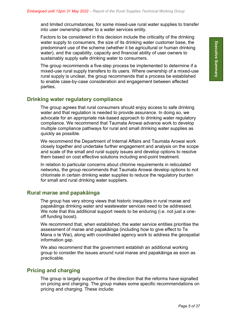and limited circumstances, for some mixed-use rural water supplies to transfer into user ownership rather to a water services entity.

Factors to be considered in this decision include the criticality of the drinking water supply to consumers, the size of its drinking water customer base, the predominant use of the scheme (whether it be agricultural or human drinking water), and the capability, capacity and financial ability of user owners to sustainably supply safe drinking water to consumers.

The group recommends a five-step process be implemented to determine if a mixed-use rural supply transfers to its users. Where ownership of a mixed-use rural supply is unclear, the group recommends that a process be established to enable case-by-case consideration and engagement between affected parties.

### **Drinking water regulatory compliance**

The group agrees that rural consumers should enjoy access to safe drinking water and that regulation is needed to provide assurance. In doing so, we advocate for an appropriate risk-based approach to drinking water regulatory compliance. We recommend that Taumata Arowai advance work to develop multiple compliance pathways for rural and small drinking water supplies as quickly as possible.

We recommend the Department of Internal Affairs and Taumata Arowai work closely together and undertake further engagement and analysis on the scope and scale of the small and rural supply issues and develop options to resolve them based on cost effective solutions including end-point treatment.

In relation to particular concerns about chlorine requirements in reticulated networks, the group recommends that Taumata Arowai develop options to not chlorinate in certain drinking water supplies to reduce the regulatory burden for small and rural drinking water suppliers.

### **Rural marae and papakāinga**

The group has very strong views that historic inequities in rural marae and papakāinga drinking water and wastewater services need to be addressed. We note that this additional support needs to be enduring (i.e. not just a oneoff funding boost).

We recommend that, when established, the water service entities prioritise the assessment of marae and papakāinga (including how to give effect to Te Mana o te Wai), along with coordinated agency work to address the geospatial information gap.

We also recommend that the government establish an additional working group to consider the issues around rural marae and papakāinga as soon as practicable.

## **Pricing and charging**

The group is largely supportive of the direction that the reforms have signalled on pricing and charging. The group makes some specific recommendations on pricing and charging. These include: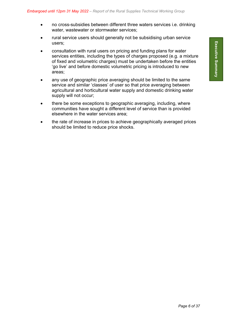- no cross-subsidies between different three waters services i.e. drinking water, wastewater or stormwater services;
- rural service users should generally not be subsidising urban service users;
- consultation with rural users on pricing and funding plans for water services entities, including the types of charges proposed (e.g. a mixture of fixed and volumetric charges) must be undertaken before the entities 'go live' and before domestic volumetric pricing is introduced to new areas;
- any use of geographic price averaging should be limited to the same service and similar 'classes' of user so that price averaging between agricultural and horticultural water supply and domestic drinking water supply will not occur;
- there be some exceptions to geographic averaging, including, where communities have sought a different level of service than is provided elsewhere in the water services area;
- the rate of increase in prices to achieve geographically averaged prices should be limited to reduce price shocks.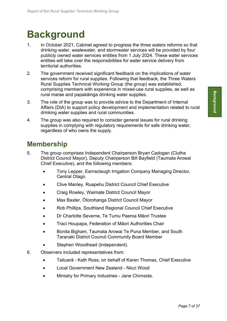# **Background**

- 1. In October 2021, Cabinet agreed to progress the three waters reforms so that drinking water, wastewater, and stormwater services will be provided by four publicly owned water services entities from 1 July 2024. These water services entities will take over the responsibilities for water service delivery from territorial authorities.
- 2. The government received significant feedback on the implications of water services reform for rural supplies. Following that feedback, the Three Waters Rural Supplies Technical Working Group (the group) was established, comprising members with experience in mixed-use rural supplies, as well as rural marae and papakāinga drinking water supplies.
- 3. The role of the group was to provide advice to the Department of Internal Affairs (DIA) to support policy development and implementation related to rural drinking water supplies and rural communities.
- 4. The group was also required to consider general issues for rural drinking supplies in complying with regulatory requirements for safe drinking water, regardless of who owns the supply.

# **Membership**

- 5. The group comprises Independent Chairperson Bryan Cadogan (Clutha District Council Mayor), Deputy Chairperson Bill Bayfield (Taumata Arowai Chief Executive), and the following members:
	- Tony Lepper, Earnscleugh Irrigation Company Managing Director, Central Otago
	- Clive Manley, Ruapehu District Council Chief Executive
	- Craig Rowley, Waimate District Council Mayor
	- Max Baxter, Ōtorohanga District Council Mayor
	- Rob Phillips, Southland Regional Council Chief Executive
	- Dr Charlotte Severne, Te Tumu Paeroa Māori Trustee
	- Traci Houpapa, Federation of Māori Authorities Chair
	- Bonita Bigham, Taumata Arowai Te Puna Member, and South Taranaki District Council Community Board Member
	- Stephen Woodhead (Independent).
- 6. Observers included representatives from:
	- Taituarā Kath Ross, on behalf of Karen Thomas, Chief Executive
	- Local Government New Zealand Nicci Wood
	- Ministry for Primary Industries Jane Chirnside.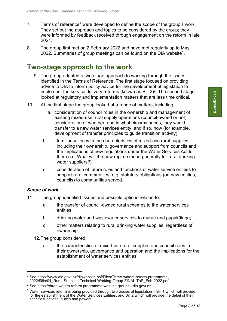- 7. Terms of reference<sup>[1](#page-7-0)</sup> were developed to define the scope of the group's work. They set out the approach and topics to be considered by the group; they were informed by feedback received through engagement on the reform in late 2021.
- 8. The group first met on 2 February 2022 and have met regularly up to May 2022. Summaries of group meetings can be found on the DIA website[2](#page-7-1).

## **Two-stage approach to the work**

- 9. The group adopted a two-stage approach to working through the issues identified in the Terms of Reference. The first stage focused on providing advice to DIA to inform policy advice for the development of legislation to implement the service delivery reforms (known as Bill  $2<sup>3</sup>$  $2<sup>3</sup>$  $2<sup>3</sup>$ . The second stage looked at regulatory and implementation matters that are less time critical.
- 10. At the first stage the group looked at a range of matters, including:
	- a. consideration of council roles in the ownership and management of existing mixed-use rural supply operations (council-owned or not), consideration of whether, and in what circumstances, they would transfer to a new water services entity, and if so, how (for example, development of transfer principles to guide transition activity)
	- b. familiarisation with the characteristics of mixed-use rural supplies including their ownership, governance and support from councils and the implications of new regulations under the Water Services Act for them (i.e. What will the new regime mean generally for rural drinking water suppliers?)
	- c. consideration of future roles and functions of water service entities to support rural communities, e.g. statutory obligations (on new entities, councils) to communities served.

### *Scope of work*

- 11. The group identified issues and possible options related to:
	- a. the transfer of council-owned rural schemes to the water services entities;
	- b. drinking water and wastewater services to marae and papakāinga;
	- c. other matters relating to rural drinking water supplies, regardless of ownership.
	- 12.The group considered:
		- a. the characteristics of mixed-use rural supplies and council roles in their ownership, governance and operation and the implications for the establishment of water services entities;

<span id="page-7-0"></span> $1$  See https://www.dia.govt.nz/diawebsite.nsf/Files/Three-waters-reform-programme-2022/\$file/04\_Rural-Supplies-Technical-Working-Group-FINAL-ToR\_Feb-2022.pdf.

<span id="page-7-1"></span> $2$  See https://three [waters reform programme working groups -](https://www.dia.govt.nz/three-waters-reform-programme-working-groups) dia.govt.nz.

<span id="page-7-2"></span> $3$  Water services reform is being provided through two pieces of legislation  $-$  Bill 1 which will provide for the establishment of the Water Services Entities, and Bill 2 which will provide the detail of their specific functions, duties and powers.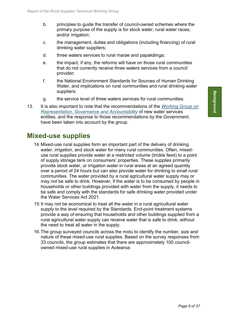- b. principles to guide the transfer of council-owned schemes where the primary purpose of the supply is for stock water, rural water races, and/or irrigation;
- c. the management, duties and obligations (including financing) of rural drinking water suppliers;
- d. three waters services to rural marae and papakāinga;
- e. the impact, if any, the reforms will have on those rural communities that do not currently receive three waters services from a council provider;
- f. the National Environment Standards for Sources of Human Drinking Water, and implications on rural communities and rural drinking water suppliers;
- g. the service level of three waters services for rural communities.
- 13. It is also important to note that the recommendations of the *[Working Group on](https://www.dia.govt.nz/three-waters-reform-programme-working-groups)  [Representation, Governance and Accountability](https://www.dia.govt.nz/three-waters-reform-programme-working-groups)* of new water services entities, and the response to those recommendations by the Government, have been taken into account by the group.

## **Mixed-use supplies**

- 14.Mixed-use rural supplies form an important part of the delivery of drinking water, irrigation, and stock water for many rural communities. Often, mixeduse rural supplies provide water at a restricted volume (trickle feed) to a point of supply storage tank on consumers' properties. These supplies primarily provide stock water, or irrigation water in rural areas at an agreed quantity over a period of 24 hours but can also provide water for drinking to small rural communities. The water provided by a rural agricultural water supply may or may not be safe to drink. However, if the water is to be consumed by people in households or other buildings provided with water from the supply, it needs to be safe and comply with the standards for safe drinking water provided under the Water Services Act 2021.
- *15.*It may not be economical to treat all the water in a rural agricultural water supply to the level required by the Standards. End-point treatment systems provide a way of ensuring that households and other buildings supplied from a rural agricultural water supply can receive water that is safe to drink, without the need to treat all water in the supply.
- 16.The group surveyed councils across the motu to identify the number, size and nature of these mixed-use rural supplies. Based on the survey responses from 33 councils, the group estimates that there are approximately 100 councilowned mixed-use rural supplies in Aotearoa.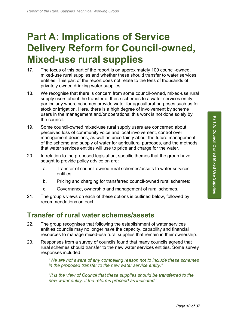# **Part A: Implications of Service Delivery Reform for Council-owned, Mixed-use rural supplies**

- 17. The focus of this part of the report is on approximately 100 council-owned, mixed-use rural supplies and whether these should transfer to water services entities. This part of the report does not relate to the tens of thousands of privately owned drinking water supplies.
- 18. We recognise that there is concern from some council-owned, mixed-use rural supply users about the transfer of these schemes to a water services entity, particularly where schemes provide water for agricultural purposes such as for stock or irrigation. Here, there is a high degree of involvement by scheme users in the management and/or operations; this work is not done solely by the council.
- 19. Some council-owned mixed-use rural supply users are concerned about perceived loss of community voice and local involvement, control over management decisions, as well as uncertainty about the future management of the scheme and supply of water for agricultural purposes, and the methods that water services entities will use to price and charge for the water.
- 20. In relation to the proposed legislation, specific themes that the group have sought to provide policy advice on are:
	- a. Transfer of council-owned rural schemes/assets to water services entities;
	- b. Pricing and charging for transferred council-owned rural schemes;
	- c. Governance, ownership and management of rural schemes.
- 21. The group's views on each of these options is outlined below, followed by recommendations on each.

## **Transfer of rural water schemes/assets**

- 22. The group recognises that following the establishment of water services entities councils may no longer have the capacity, capability and financial resources to manage mixed-use rural supplies that remain in their ownership.
- 23. Responses from a survey of councils found that many councils agreed that rural schemes should transfer to the new water services entities. Some survey responses included:

"*We are not aware of any compelling reason not to include these schemes in the proposed transfer to the new water service entity."*

"*It is the view of Council that these supplies should be transferred to the new water entity, if the reforms proceed as indicated*."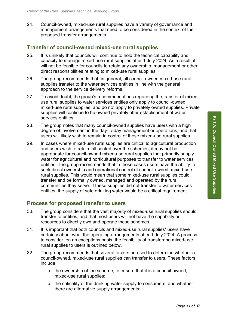24. Council-owned, mixed-use rural supplies have a variety of governance and management arrangements that need to be considered in the context of the proposed transfer arrangements.

### **Transfer of council-owned mixed-use rural supplies**

- 25. It is unlikely that councils will continue to hold the technical capability and capacity to manage mixed-use rural supplies after 1 July 2024. As a result, it will not be feasible for councils to retain any ownership, management or other direct responsibilities relating to mixed-use rural supplies.
- 26. The group recommends that, in general, all council-owned mixed-use rural supplies transfer to the water services entities in line with the general approach to the service delivery reforms.
- 27. To avoid doubt, the group's recommendations regarding the transfer of mixeduse rural supplies to water services entities only apply to council-owned mixed-use rural supplies, and do not apply to privately owned supplies. Private supplies will continue to be owned privately after establishment of water services entities.
- 28. The group notes that many council-owned supplies have users with a high degree of involvement in the day-to-day management or operations, and that users will likely wish to remain in control of these mixed-use rural supplies.
- 29. In cases where mixed-use rural supplies are critical to agricultural production and users wish to retain full control over the schemes, it may not be appropriate for council-owned mixed-use rural supplies that primarily supply water for agricultural and horticultural purposes to transfer to water services entities. The group recommends that in these cases users have the ability to seek direct ownership and operational control of council-owned, mixed-use rural supplies. This would mean that some mixed-use rural supplies could transfer and be formally owned, managed and operated by the rural communities they serve. If these supplies did not transfer to water services entities, the supply of safe drinking water would be a critical requirement.

### **Process for proposed transfer to users**

- 30. The group considers that the vast majority of mixed-use rural supplies should transfer to entities, and that most users will not have the capability or resources to directly own and operate these schemes.
- 31. It is important that both councils and mixed-use rural supplies**'** users have certainty about what the operating arrangements after 1 July 2024. A process to consider, on an exceptions basis, the feasibility of transferring mixed-use rural supplies to users is outlined below.
- 32. The group recommends that several factors be used to determine whether a council-owned, mixed-use rural supplies can transfer to users. These factors include:
	- a. the ownership of the scheme, to ensure that it is a council-owned, mixed-use rural supplies**;**
	- b. the criticality of the drinking water supply to consumers, and whether there are alternative supply arrangements;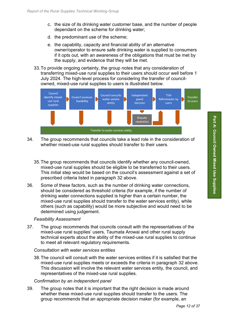- c. the size of its drinking water customer base, and the number of people dependant on the scheme for drinking water;
- d. the predominant use of the scheme;
- e. the capability, capacity and financial ability of an alternative owner/operator to ensure safe drinking water is supplied to consumers if it opts out, with an awareness of the obligations that must be met by the supply, and evidence that they will be met.
- 33.To provide ongoing certainty, the group notes that any consideration of transferring mixed-use rural supplies to their users should occur well before 1 July 2024. The high-level process for considering the transfer of councilowned, mixed-use rural supplies to users is illustrated below.



- 34. The group recommends that councils take a lead role in the consideration of whether mixed-use rural supplies should transfer to their users.
	- 35.The group recommends that councils identify whether any council-owned, mixed-use rural supplies should be eligible to be transferred to their users. This initial step would be based on the council's assessment against a set of prescribed criteria listed in paragraph 32 above.
- 36. Some of these factors, such as the number of drinking water connections, should be considered as threshold criteria (for example, if the number of drinking water connections supplied is higher than a certain number, the mixed-use rural supplies should transfer to the water services entity), while others (such as capability) would be more subjective and would need to be determined using judgement.

### *Feasibility Assessment*

37. The group recommends that councils consult with the representatives of the mixed-use rural supplies' users, Taumata Arowai and other rural supply technical experts about the ability of the mixed-use rural supplies to continue to meet all relevant regulatory requirements.

### *Consultation with water services entities*

38.The council will consult with the water services entities if it is satisfied that the mixed-use rural supplies meets or exceeds the criteria in paragraph 32 above. This discussion will involve the relevant water services entity, the council, and representatives of the mixed-use rural supplies.

### *Confirmation by an independent panel*

<span id="page-11-0"></span>39. The group notes that it is important that the right decision is made around whether these mixed-use rural supplies should transfer to the users. The group recommends that an appropriate decision maker (for example, an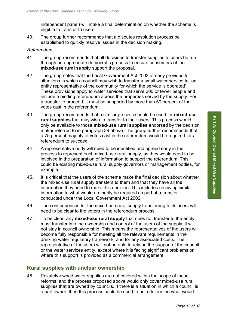independent panel) will make a final determination on whether the scheme is eligible to transfer to users.

40. The group further recommends that a disputes resolution process be established to quickly resolve issues in the decision making.

#### *Referendum*

- 41. The group recommends that all decisions to transfer supplies to users be run through an appropriate democratic process to ensure consumers of the **mixed-use rural supply** support the proposal.
- 42. The group notes that the Local Government Act 2002 already provides for situations in which a council may wish to transfer a small water service to "an entity representative of the community for which the service is operated". These provisions apply to water services that serve 200 or fewer people and include a binding referendum across the properties served by the supply. For a transfer to proceed, it must be supported by more than 50 percent of the votes cast in the referendum.
- 43. The group recommends that a similar process should be used for **mixed-use rural supplies** that may wish to transfer to their users. This process would only be available to those **mixed-use rural supplies** endorsed by the decision maker referred to in paragraph [39](#page-11-0) above. The group further recommends that a 75 percent majority of votes cast in the referendum would be required for a referendum to succeed.
- 44. A representative body will need to be identified and agreed early in the process to represent each mixed-use rural supply, as they would need to be involved in the preparation of information to support the referendum. This could be existing mixed-use rural supply governors or management bodies, for example.
- 45. It is critical that the users of the scheme make the final decision about whether the mixed-use rural supply transfers to them and that they have all the information they need to make this decision. This includes receiving similar information to what would ordinarily be required as part of a transfer conducted under the Local Government Act 2002.
- 46. The consequences for the mixed-use rural supply transferring to its users will need to be clear to the voters in the referendum process.
- 47. To be clear, any **mixed-use rural supply** that does not transfer to the entity, must transfer into the ownership and control of the users of the supply; it will not stay in council ownership. This means the representatives of the users will become fully responsible for meeting all the relevant requirements in the drinking water regulatory framework, and for any associated costs. The representative of the users will not be able to rely on the support of the council or the water services entity, except where it is facing significant problems or where this support is provided as a commercial arrangement.

### **Rural supplies with unclear ownership**

48. Privately-owned water supplies are not covered within the scope of these reforms, and the process proposed above would only cover mixed-use rural supplies that are owned by councils. If there is a situation in which a council is a part owner, then this process could be used to help determine what would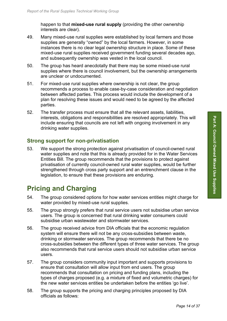happen to that **mixed-use rural supply** (providing the other ownership interests are clear).

- 49. Many mixed-use rural supplies were established by local farmers and those supplies are generally "owned" by the local farmers. However, in some instances there is no clear legal ownership structure in place. Some of these mixed-use rural supplies received government funding several decades ago, and subsequently ownership was vested in the local council.
- 50. The group has heard anecdotally that there may be some mixed-use rural supplies where there is council involvement, but the ownership arrangements are unclear or undocumented.
- 51. For mixed-use rural supplies where ownership is not clear, the group recommends a process to enable case-by-case consideration and negotiation between affected parties. This process would include the development of a plan for resolving these issues and would need to be agreed by the affected parties.
- 52. The transfer process must ensure that all the relevant assets, liabilities, interests, obligations and responsibilities are resolved appropriately. This will include ensuring that councils are not left with ongoing involvement in any drinking water supplies.

## **Strong support for non-privatisation**

53. We support the strong protection against privatisation of council-owned rural water supplies and note that this is already provided for in the Water Services Entities Bill. The group recommends that the provisions to protect against privatisation of currently council-owned rural water supplies, would be further strengthened through cross party support and an entrenchment clause in the legislation, to ensure that these provisions are enduring.

# **Pricing and Charging**

- 54. The group considered options for how water services entities might charge for water provided by mixed-use rural supplies.
- 55. The group strongly prefers that rural service users not subsidise urban service users. The group is concerned that rural drinking water consumers could subsidise urban wastewater and stormwater services.
- 56. The group received advice from DIA officials that the economic regulation system will ensure there will not be any cross-subsidies between waste, drinking or stormwater services. The group recommends that there be no cross-subsidies between the different types of three water services. The group also recommends that rural service users should not subsidise urban service users.
- 57. The group considers community input important and supports provisions to ensure that consultation will allow input from end users. The group recommends that consultation on pricing and funding plans, including the types of charges proposed (e.g. a mixture of fixed and volumetric charges) for the new water services entities be undertaken before the entities 'go live'.
- 58. The group supports the pricing and charging principles proposed by DIA officials as follows: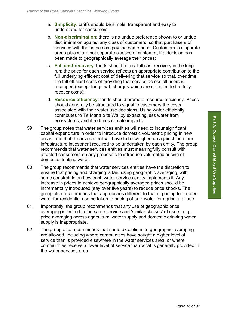- a. **Simplicity**: tariffs should be simple, transparent and easy to understand for consumers;
- b. **Non-discrimination**: there is no undue preference shown to or undue discrimination against any class of customers, so that purchasers of services with the same cost pay the same price. Customers in disparate areas places are not separate classes of customer, if a decision has been made to geographically average their prices;
- c. **Full cost recovery**: tariffs should reflect full cost recovery in the longrun: the price for each service reflects an appropriate contribution to the full underlying efficient cost of delivering that service so that, over time, the full efficient costs of providing that service across all users is recouped (except for growth charges which are not intended to fully recover costs);
- d. **Resource efficiency**: tariffs should promote resource efficiency. Prices should generally be structured to signal to customers the costs associated with their water use decisions. Using water efficiently contributes to Te Mana o te Wai by extracting less water from ecosystems, and it reduces climate impacts.
- 59. The group notes that water services entities will need to incur significant capital expenditure in order to introduce domestic volumetric pricing in new areas, and that this investment will have to be weighed up against the other infrastructure investment required to be undertaken by each entity. The group recommends that water services entities must meaningfully consult with affected consumers on any proposals to introduce volumetric pricing of domestic drinking water.
- 60. The group recommends that water services entities have the discretion to ensure that pricing and charging is fair, using geographic averaging, with some constraints on how each water services entity implements it. Any increase in prices to achieve geographically averaged prices should be incrementally introduced (say over five years) to reduce price shocks. The group also recommends that approaches different to that of pricing for treated water for residential use be taken to pricing of bulk water for agricultural use.
- 61. Importantly, the group recommends that any use of geographic price averaging is limited to the same service and 'similar classes' of users, e.g. price averaging across agricultural water supply and domestic drinking water supply is inappropriate.
- 62. The group also recommends that some exceptions to geographic averaging are allowed, including where communities have sought a higher level of service than is provided elsewhere in the water services area, or where communities receive a lower level of service than what is generally provided in the water services area.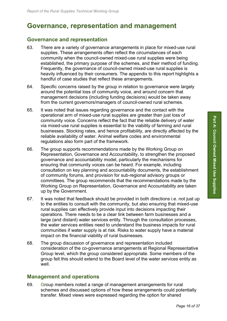# **Governance, representation and management**

## **Governance and representation**

- 63. There are a variety of governance arrangements in place for mixed-use rural supplies. These arrangements often reflect the circumstances of each community when the council-owned mixed-use rural supplies were being established, the primary purpose of the schemes, and their method of funding. Frequently, the governance of council-owned mixed-use rural supplies is heavily influenced by their consumers. The appendix to this report highlights a handful of case studies that reflect these arrangements.
- 64. Specific concerns raised by the group in relation to governance were largely around the potential loss of community voice, and around concern that management decisions (including funding decisions) would be taken away from the current governors/managers of council-owned rural schemes.
- 65. It was noted that issues regarding governance and the contact with the operational arm of mixed-use rural supplies are greater than just loss of community voice. Concerns reflect the fact that the reliable delivery of water via mixed-use rural supplies is essential to the viability of farming and rural businesses. Stocking rates, and hence profitability, are directly affected by the reliable availability of water. Animal welfare codes and environmental regulations also form part of the framework.
- 66. The group supports recommendations made by the Working Group on Representation, Governance and Accountability, to strengthen the proposed governance and accountability model, particularly the mechanisms for ensuring that community voices can be heard. For example, including consultation on key planning and accountability documents, the establishment of community forums, and provision for sub-regional advisory groups or committees. The group recommends that the recommendations made by the Working Group on Representation, Governance and Accountability are taken up by the Government.
- 67. It was noted that feedback should be provided in both directions i.e. not just up to the entities to consult with the community, but also ensuring that mixed-use rural supplies can effectively provide input into decisions impacting their operations. There needs to be a clear link between farm businesses and a large (and distant) water services entity. Through the consultation processes, the water services entities need to understand the business impacts for rural communities if water supply is at risk. Risks to water supply have a material impact on the financial viability of rural businesses.
- 68. The group discussion of governance and representation included consideration of the co-governance arrangements at Regional Representative Group level, which the group considered appropriate. Some members of the group felt this should extend to the Board level of the water services entity as well.

## **Management and operations**

69. Group members noted a range of management arrangements for rural schemes and discussed options of how these arrangements could potentially transfer. Mixed views were expressed regarding the option for shared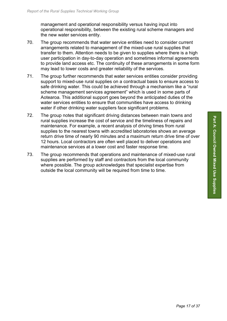management and operational responsibility versus having input into operational responsibility, between the existing rural scheme managers and the new water services entity.

- 70. The group recommends that water service entities need to consider current arrangements related to management of the mixed-use rural supplies that transfer to them. Attention needs to be given to supplies where there is a high user participation in day-to-day operation and sometimes informal agreements to provide land access etc. The continuity of these arrangements in some form may lead to lower costs and greater reliability of the services.
- 71. The group further recommends that water services entities consider providing support to mixed-use rural supplies on a contractual basis to ensure access to safe drinking water. This could be achieved through a mechanism like a "rural scheme management services agreement" which is used in some parts of Aotearoa. This additional support goes beyond the anticipated duties of the water services entities to ensure that communities have access to drinking water if other drinking water suppliers face significant problems.
- 72. The group notes that significant driving distances between main towns and rural supplies increase the cost of service and the timeliness of repairs and maintenance. For example, a recent analysis of driving times from rural supplies to the nearest towns with accredited laboratories shows an average return drive time of nearly 90 minutes and a maximum return drive time of over 12 hours. Local contractors are often well placed to deliver operations and maintenance services at a lower cost and faster response time.
- 73. The group recommends that operations and maintenance of mixed-use rural supplies are performed by staff and contractors from the local community where possible. The group acknowledges that specialist expertise from outside the local community will be required from time to time.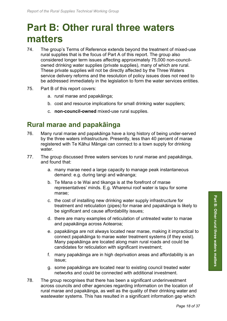# **Part B: Other rural three waters matters**

- 74. The group's Terms of Reference extends beyond the treatment of mixed-use rural supplies that is the focus of Part A of this report. The group also considered longer term issues affecting approximately 75,000 non-councilowned drinking water supplies (private supplies), many of which are rural. These private supplies will not be directly affected by the Three Waters service delivery reforms and the resolution of policy issues does not need to be addressed immediately in the legislation to form the water services entities.
- 75. Part B of this report covers:
	- a. rural marae and papakāinga;
	- b. cost and resource implications for small drinking water suppliers;
	- c. **non-council-owned** mixed-use rural supplies.

## **Rural marae and papakāinga**

- 76. Many rural marae and papakāinga have a long history of being under-served by the three waters infrastructure. Presently, less than 40 percent of marae registered with Te Kāhui Māngai can connect to a town supply for drinking water.
- 77. The group discussed three waters services to rural marae and papakāinga, and found that:
	- a. many marae need a large capacity to manage peak instantaneous demand: e.g. during tangi and wānanga;
	- b. Te Mana o te Wai and tikanga is at the forefront of marae representatives' minds. E.g. Wharenui roof water is tapu for some marae;
	- c. the cost of installing new drinking water supply infrastructure for treatment and reticulation (pipes) for marae and papakāinga is likely to be significant and cause affordability issues;
	- d. there are many examples of reticulation of untreated water to marae and papakāinga across Aotearoa;
	- e. papakāinga are not always located near marae, making it impractical to connect papakāinga to marae water treatment systems (if they exist). Many papakāinga are located along main rural roads and could be candidates for reticulation with significant investment;
	- f. many papakāinga are in high deprivation areas and affordability is an issue;
	- g. some papakāinga are located near to existing council treated water networks and could be connected with additional investment.
- 78. The group recognises that there has been a significant underinvestment across councils and other agencies regarding information on the location of rural marae and papakāinga, as well as the quality of their drinking water and wastewater systems. This has resulted in a significant information gap which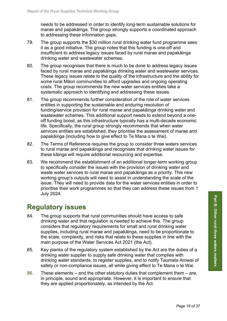needs to be addressed in order to identify long-term sustainable solutions for marae and papakāinga. The group strongly supports a coordinated approach to addressing these information gaps.

- 79. The group supports the \$30 million rural drinking water fund programme sees it as a good initiative. The group notes that this funding is one-off and insufficient to address legacy issues faced by rural marae and papakāinga drinking water and wastewater schemes.
- 80. The group recognises that there is much to be done to address legacy issues faced by rural marae and papakāinga drinking water and wastewater services. These legacy issues relate to the quality of the infrastructure and the ability for some rural Māori communities to afford upgrades and ongoing operating costs. The group recommends the new water services entities take a systematic approach to identifying and addressing these issues.
- 81. The group recommends further consideration of the role of water services entities in supporting the sustainable and enduring resolution of funding/service provision for rural marae and papakāinga drinking water and wastewater schemes. This additional support needs to extend beyond a oneoff funding boost, as this infrastructure typically has a multi-decade economic life. Specifically, the rural group strongly recommends that when water services entities are established, they prioritise the assessment of marae and papakāinga (including how to give effect to Te Mana o te Wai).
- 82. The Terms of Reference requires the group to consider three waters services to rural marae and papakāinga and recognises that drinking water issues for these kāinga will require additional resourcing and expertise.
- 83. We recommend the establishment of an additional longer-term working group to specifically consider the issues with the provision of drinking water and waste water services to rural marae and papakāinga as a priority. This new working group's outputs will need to assist in understanding the scale of the issue. They will need to provide data for the water services entities in order to prioritise their work programmes so that they can address these issues from 1 July 2024.

# **Regulatory issues**

- 84. The group supports that rural communities should have access to safe drinking water and that regulation is needed to achieve this. The group considers that regulatory requirements for small and rural drinking water supplies, including rural marae and papakāinga, need to be proportionate to the scale, complexity, and risks that relate to these supplies in line with the main purpose of the Water Services Act 2021 (the Act).
- 85. Key planks of the regulatory system established by the Act are the duties of a drinking water supplier to supply safe drinking water that complies with drinking water standards, to register supplies, and to notify Taumata Arowai of safety or non-compliance issues, all while giving effect to Te Mana o te Wai.
- 86. These elements and the other statutory duties that complement them are, in principle, sound and appropriate. However, it is important to ensure that they are applied proportionately, as intended by the Act.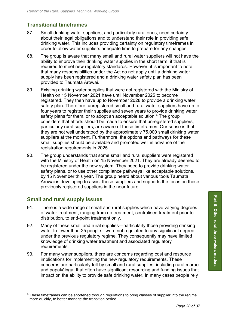## **Transitional timeframes**

- 87. Small drinking water suppliers, and particularly rural ones, need certainty about their legal obligations and to understand their role in providing safe drinking water. This includes providing certainty on regulatory timeframes in order to allow water suppliers adequate time to prepare for any changes.
- 88. The group is aware that many small and rural water suppliers will not have the ability to improve their drinking water supplies in the short term, if that is required to meet new regulatory standards. However, it is important to note that many responsibilities under the Act do not apply until a drinking water supply has been registered and a drinking water safety plan has been provided to Taumata Arowai.
- 89. Existing drinking water supplies that were not registered with the Ministry of Health on 15 November 2021 have until November 2025 to become registered. They then have up to November 2028 to provide a drinking water safety plan. Therefore, unregistered small and rural water suppliers have up to four years to register their supplies and seven years to provide drinking water safety plans for them, or to adopt an acceptable solution.<sup>[4](#page-19-0)</sup> The group considers that efforts should be made to ensure that unregistered suppliers, particularly rural suppliers, are aware of these timeframes. Our sense is that they are not well understood by the approximately 75,000 small drinking water suppliers at the moment. Furthermore, the options and pathways for these small supplies should be available and promoted well in advance of the registration requirements in 2025.
- 90. The group understands that some small and rural suppliers were registered with the Ministry of Health on 15 November 2021. They are already deemed to be registered under the new system. They need to provide drinking water safety plans, or to use other compliance pathways like acceptable solutions, by 15 November this year. The group heard about various tools Taumata Arowai is developing to assist these suppliers and supports the focus on these previously registered suppliers in the near future.

## **Small and rural supply issues**

- 91. There is a wide range of small and rural supplies which have varying degrees of water treatment, ranging from no treatment, centralised treatment prior to distribution, to end-point treatment only.
- 92. Many of these small and rural supplies—particularly those providing drinking water to fewer than 25 people—were not regulated to any significant degree under the previous regulatory regime. They consequently may have limited knowledge of drinking water treatment and associated regulatory requirements.
- 93. For many water suppliers, there are concerns regarding cost and resource implications for implementing the new regulatory requirements. These concerns are particularly felt by small and rural supplies, including rural marae and papakāinga, that often have significant resourcing and funding issues that impact on the ability to provide safe drinking water. In many cases people rely

<span id="page-19-0"></span><sup>&</sup>lt;sup>4</sup> These timeframes can be shortened through regulations to bring classes of supplier into the regime more quickly, to better manage the transition period.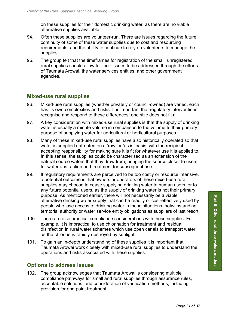on these supplies for their domestic drinking water, as there are no viable alternative supplies available.

- 94. Often these supplies are volunteer-run. There are issues regarding the future continuity of some of these water supplies due to cost and resourcing requirements, and the ability to continue to rely on volunteers to manage the supplies.
- 95. The group felt that the timeframes for registration of the small, unregistered rural supplies should allow for their issues to be addressed through the efforts of Taumata Arowai, the water services entities, and other government agencies.

## **Mixed-use rural supplies**

- 96. Mixed-use rural supplies (whether privately or council-owned) are varied, each has its own complexities and risks. It is important that regulatory interventions recognise and respond to these differences: one size does not fit all.
- 97. A key consideration with mixed-use rural supplies is that the supply of drinking water is usually a minute volume in comparison to the volume to their primary purpose of supplying water for agricultural or horticultural purposes.
- 98. Many of these mixed-use rural supplies have also historically operated so that water is supplied untreated on a 'raw' or 'as is' basis, with the recipient accepting responsibility for making sure it is fit for whatever use it is applied to. In this sense, the supplies could be characterised as an extension of the natural source waters that they draw from, bringing the source closer to users for water abstraction and treatment for subsequent use.
- 99. If regulatory requirements are perceived to be too costly or resource intensive, a potential outcome is that owners or operators of these mixed-use rural supplies may choose to cease supplying drinking water to human users, or to any future potential users, as the supply of drinking water is not their primary purpose. As mentioned earlier, there will not necessarily be a viable alternative drinking water supply that can be readily or cost-effectively used by people who lose access to drinking water in these situations, notwithstanding territorial authority or water service entity obligations as suppliers of last resort.
- 100. There are also practical compliance considerations with these supplies. For example, it is impractical to use chlorination for treatment and residual disinfection in rural water schemes which use open canals to transport water, as the chlorine is rapidly destroyed by sunlight.
- 101. To gain an in-depth understanding of these supplies it is important that Taumata Arowai work closely with mixed-use rural supplies to understand the operations and risks associated with these supplies.

## **Options to address issues**

102. The group acknowledges that Taumata Arowai is considering multiple compliance pathways for small and rural supplies through assurance rules, acceptable solutions, and consideration of verification methods, including provision for end point treatment.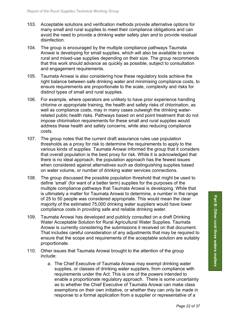- 103. Acceptable solutions and verification methods provide alternative options for many small and rural supplies to meet their compliance obligations and can avoid the need to provide a drinking water safety plan and to provide residual disinfection.
- 104. The group is encouraged by the multiple compliance pathways Taumata Arowai is developing for small supplies, which will also be available to some rural and mixed-use supplies depending on their size. The group recommends that this work should advance as quickly as possible, subject to consultation and engagement requirements.
- 105. Taumata Arowai is also considering how these regulatory tools achieve the right balance between safe drinking water and minimising compliance costs, to ensure requirements are proportionate to the scale, complexity and risks for distinct types of small and rural supplies.
- 106. For example, where operators are unlikely to have prior experience handling chlorine or appropriate training, the health and safety risks of chlorination, as well as compliance costs, may in many cases outweigh the drinking waterrelated public health risks. Pathways based on end point treatment that do not impose chlorination requirements for these small and rural supplies would address these health and safety concerns, while also reducing compliance costs.
- 107. The group notes that the current draft assurance rules use population thresholds as a proxy for risk to determine the requirements to apply to the various kinds of supplies. Taumata Arowai informed the group that it considers that overall population is the best proxy for risk. While it is acknowledged that there is no ideal approach, the population approach has the fewest issues when considered against alternatives such as distinguishing supplies based on water volume, or number of drinking water services connections.
- 108. The group discussed the possible population threshold that might be used to define 'small' (for want of a better term) supplies for the purposes of the multiple compliance pathways that Taumata Arowai is developing. While that is ultimately a matter for Taumata Arowai to determine, a number in the range of 25 to 50 people was considered appropriate. This would mean the clear majority of the estimated 75,000 drinking water suppliers would have lower compliance costs in providing safe and reliable drinking water.
- 109. Taumata Arowai has developed and publicly consulted on a draft Drinking Water Acceptable Solution for Rural Agricultural Water Supplies. Taumata Arowai is currently considering the submissions it received on that document. That includes careful consideration of any adjustments that may be required to ensure that the scope and requirements of the acceptable solution are suitably proportionate.
- 110. Other issues that Taumata Arowai brought to the attention of the group include:
	- a. The Chief Executive of Taumata Arowai may exempt drinking water supplies, or classes of drinking water suppliers, from compliance with requirements under the Act. This is one of the powers intended to enable a proportionate regulatory approach. There is some uncertainty as to whether the Chief Executive of Taumata Arowai can make class exemptions on their own initiative, or whether they can only be made in response to a formal application from a supplier or representative of a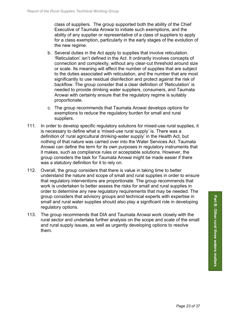class of suppliers. The group supported both the ability of the Chief Executive of Taumata Arowai to initiate such exemptions, and the ability of any supplier or representative of a class of suppliers to apply for a class exemption, particularly in the early stages of the evolution of the new regime.

- b. Several duties in the Act apply to supplies that involve reticulation. 'Reticulation' isn't defined in the Act. It ordinarily involves concepts of connection and complexity, without any clear-cut threshold around size or scale. Its meaning will affect the number of supplies that are subject to the duties associated with reticulation, and the number that are most significantly to use residual disinfection and protect against the risk of backflow. The group consider that a clear definition of 'Reticulation' is needed to provide drinking water suppliers, consumers, and Taumata Arowai with certainty ensure that the regulatory regime is suitably proportionate.
- c. The group recommends that Taumata Arowai develops options for exemptions to reduce the regulatory burden for small and rural suppliers.
- 111. In order to develop specific regulatory solutions for mixed-use rural supplies, it is necessary to define what a 'mixed-use rural supply' is. There was a definition of 'rural agricultural drinking-water supply' in the Health Act, but nothing of that nature was carried over into the Water Services Act. Taumata Arowai can define the term for its own purposes in regulatory instruments that it makes, such as compliance rules or acceptable solutions. However, the group considers the task for Taumata Arowai might be made easier if there was a statutory definition for it to rely on.
- 112. Overall, the group considers that there is value in taking time to better understand the nature and scope of small and rural supplies in order to ensure that regulatory interventions are proportionate. The group recommends that work is undertaken to better assess the risks for small and rural supplies in order to determine any new regulatory requirements that may be needed. The group considers that advisory groups and technical experts with expertise in small and rural water supplies should also play a significant role in developing regulatory options.
- 113. The group recommends that DIA and Taumata Arowai work closely with the rural sector and undertake further analysis on the scope and scale of the small and rural supply issues, as well as urgently developing options to resolve them.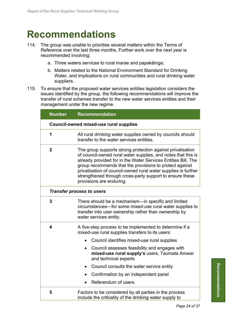# **Recommendations**

- 114. The group was unable to prioritise several matters within the Terms of Reference over the last three months. Further work over the next year is recommended involving:
	- a. Three waters services to rural marae and papakāinga;
	- b. Matters related to the National Environment Standard for Drinking Water, and implications on rural communities and rural drinking water suppliers.
- 115. To ensure that the proposed water services entities legislation considers the issues identified by the group, the following recommendations will improve the transfer of rural schemes transfer to the new water services entities and their management under the new regime.

| <b>Number</b>                                 | <b>Recommendation</b>                                                                                                                                                                                                                                                                                                                                                                                             |  |  |
|-----------------------------------------------|-------------------------------------------------------------------------------------------------------------------------------------------------------------------------------------------------------------------------------------------------------------------------------------------------------------------------------------------------------------------------------------------------------------------|--|--|
| <b>Council-owned mixed-use rural supplies</b> |                                                                                                                                                                                                                                                                                                                                                                                                                   |  |  |
| 1                                             | All rural drinking water supplies owned by councils should<br>transfer to the water services entities.                                                                                                                                                                                                                                                                                                            |  |  |
| $\mathbf 2$                                   | The group supports strong protection against privatisation<br>of council-owned rural water supplies, and notes that this is<br>already provided for in the Water Services Entities Bill. The<br>group recommends that the provisions to protect against<br>privatisation of council-owned rural water supplies is further<br>strengthened through cross-party support to ensure these<br>provisions are enduring. |  |  |
| <b>Transfer process to users</b>              |                                                                                                                                                                                                                                                                                                                                                                                                                   |  |  |
| 3                                             | There should be a mechanism-in specific and limited<br>circumstances-for some mixed-use rural water supplies to<br>transfer into user ownership rather than ownership by<br>water services entity.                                                                                                                                                                                                                |  |  |
| 4                                             | A five-step process to be implemented to determine if a<br>mixed-use rural supplies transfers to its users:                                                                                                                                                                                                                                                                                                       |  |  |
|                                               | Council identifies mixed-use rural supplies                                                                                                                                                                                                                                                                                                                                                                       |  |  |
|                                               | Council assesses feasibility and engages with<br>$\bullet$<br>mixed-use rural supply's users, Taumata Arowai<br>and technical experts                                                                                                                                                                                                                                                                             |  |  |
|                                               | Council consults the water service entity                                                                                                                                                                                                                                                                                                                                                                         |  |  |
|                                               | Confirmation by an independent panel                                                                                                                                                                                                                                                                                                                                                                              |  |  |
|                                               | Referendum of users.                                                                                                                                                                                                                                                                                                                                                                                              |  |  |
| 5                                             | Factors to be considered by all parties in the process<br>include the criticality of the drinking water supply to                                                                                                                                                                                                                                                                                                 |  |  |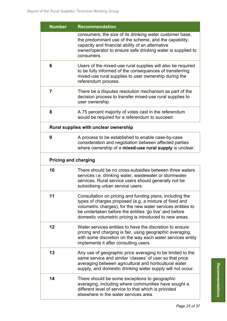| <b>Number</b>                         | <b>Recommendation</b>                                                                                                                                                                                                                                                                                  |  |  |  |
|---------------------------------------|--------------------------------------------------------------------------------------------------------------------------------------------------------------------------------------------------------------------------------------------------------------------------------------------------------|--|--|--|
|                                       | consumers, the size of its drinking water customer base,<br>the predominant use of the scheme, and the capability,<br>capacity and financial ability of an alternative<br>owner/operator to ensure safe drinking water is supplied to<br>consumers.                                                    |  |  |  |
| 6                                     | Users of the mixed-use rural supplies will also be required<br>to be fully informed of the consequences of transferring<br>mixed-use rural supplies to user ownership during the<br>referendum process.                                                                                                |  |  |  |
| $\overline{7}$                        | There be a disputes resolution mechanism as part of the<br>decision process to transfer mixed-use rural supplies to<br>user ownership.                                                                                                                                                                 |  |  |  |
| 8                                     | A 75 percent majority of votes cast in the referendum<br>would be required for a referendum to succeed.                                                                                                                                                                                                |  |  |  |
| Rural supplies with unclear ownership |                                                                                                                                                                                                                                                                                                        |  |  |  |
| 9                                     | A process to be established to enable case-by-case<br>consideration and negotiation between affected parties<br>where ownership of a mixed-use rural supply is unclear.                                                                                                                                |  |  |  |
| <b>Pricing and charging</b>           |                                                                                                                                                                                                                                                                                                        |  |  |  |
| 10                                    | There should be no cross-subsidies between three waters<br>services i.e. drinking water, wastewater or stormwater<br>services. Rural service users should generally not be<br>subsidising urban service users.                                                                                         |  |  |  |
| 11                                    | Consultation on pricing and funding plans, including the<br>types of charges proposed (e.g. a mixture of fixed and<br>volumetric charges), for the new water services entities to<br>be undertaken before the entities 'go live' and before<br>domestic volumetric pricing is introduced to new areas. |  |  |  |
| 12                                    | Water services entities to have the discretion to ensure<br>pricing and charging is fair, using geographic averaging,<br>with some discretion on the way each water services entity<br>implements it after consulting users.                                                                           |  |  |  |
| 13                                    | Any use of geographic price averaging to be limited to the<br>same service and similar 'classes' of user so that price<br>averaging between agricultural and horticultural water<br>supply, and domestic drinking water supply will not occur.                                                         |  |  |  |
| 14                                    | There should be some exceptions to geographic<br>averaging, including where communities have sought a<br>different level of service to that which is provided<br>elsewhere in the water services area.                                                                                                 |  |  |  |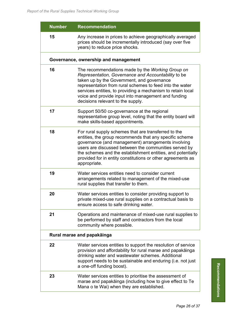| <b>Number</b> | <b>Recommendation</b>                                                                                                                                                                                                                                                                                                                                                        |  |  |  |  |
|---------------|------------------------------------------------------------------------------------------------------------------------------------------------------------------------------------------------------------------------------------------------------------------------------------------------------------------------------------------------------------------------------|--|--|--|--|
| 15            | Any increase in prices to achieve geographically averaged<br>prices should be incrementally introduced (say over five<br>years) to reduce price shocks.                                                                                                                                                                                                                      |  |  |  |  |
|               | Governance, ownership and management                                                                                                                                                                                                                                                                                                                                         |  |  |  |  |
| 16            | The recommendations made by the Working Group on<br>Representation, Governance and Accountability to be<br>taken up by the Government, and governance<br>representation from rural schemes to feed into the water<br>services entities, to providing a mechanism to retain local<br>voice and provide input into management and funding<br>decisions relevant to the supply. |  |  |  |  |
| 17            | Support 50/50 co-governance at the regional<br>representative group level, noting that the entity board will<br>make skills-based appointments.                                                                                                                                                                                                                              |  |  |  |  |
| 18            | For rural supply schemes that are transferred to the<br>entities, the group recommends that any specific scheme<br>governance (and management) arrangements involving<br>users are discussed between the communities served by<br>the schemes and the establishment entities, and potentially<br>provided for in entity constitutions or other agreements as<br>appropriate. |  |  |  |  |
| 19            | Water services entities need to consider current<br>arrangements related to management of the mixed-use<br>rural supplies that transfer to them.                                                                                                                                                                                                                             |  |  |  |  |
| 20            | Water services entities to consider providing support to<br>private mixed-use rural supplies on a contractual basis to<br>ensure access to safe drinking water.                                                                                                                                                                                                              |  |  |  |  |
| 21            | Operations and maintenance of mixed-use rural supplies to<br>be performed by staff and contractors from the local<br>community where possible.                                                                                                                                                                                                                               |  |  |  |  |
|               | Rural marae and papakāinga                                                                                                                                                                                                                                                                                                                                                   |  |  |  |  |
| 22            | Water services entities to support the resolution of service<br>provision and affordability for rural marae and papakāinga<br>drinking water and wastewater schemes. Additional<br>support needs to be sustainable and enduring (i.e. not just<br>a one-off funding boost).                                                                                                  |  |  |  |  |
| 23            | Water services entities to prioritise the assessment of<br>marae and papakāinga (including how to give effect to Te<br>Mana o te Wai) when they are established.                                                                                                                                                                                                             |  |  |  |  |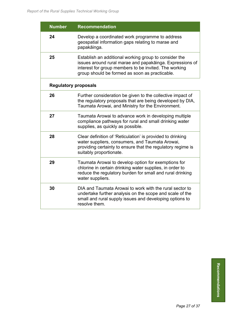| <b>Number</b>               | <b>Recommendation</b>                                                                                                                                                                                                        |  |  |  |
|-----------------------------|------------------------------------------------------------------------------------------------------------------------------------------------------------------------------------------------------------------------------|--|--|--|
| 24                          | Develop a coordinated work programme to address<br>geospatial information gaps relating to marae and<br>papakāinga.                                                                                                          |  |  |  |
| 25                          | Establish an additional working group to consider the<br>issues around rural marae and papakāinga. Expressions of<br>interest for group members to be invited. The working<br>group should be formed as soon as practicable. |  |  |  |
| <b>Regulatory proposals</b> |                                                                                                                                                                                                                              |  |  |  |
| 26                          | Further consideration be given to the collective impact of<br>the regulatory proposals that are being developed by DIA,<br>Taumata Arowai, and Ministry for the Environment.                                                 |  |  |  |
| 27                          | Taumata Arowai to advance work in developing multiple<br>compliance pathways for rural and small drinking water<br>supplies, as quickly as possible.                                                                         |  |  |  |
| 28                          | Clear definition of 'Reticulation' is provided to drinking<br>water suppliers, consumers, and Taumata Arowai,<br>providing certainty to ensure that the regulatory regime is<br>suitably proportionate.                      |  |  |  |
| 29                          | Taumata Arowai to develop option for exemptions for<br>chlorine in certain drinking water supplies, in order to<br>reduce the regulatory burden for small and rural drinking<br>water suppliers.                             |  |  |  |
| 30                          | DIA and Taumata Arowai to work with the rural sector to<br>undertake further analysis on the scope and scale of the<br>small and rural supply issues and developing options to<br>resolve them.                              |  |  |  |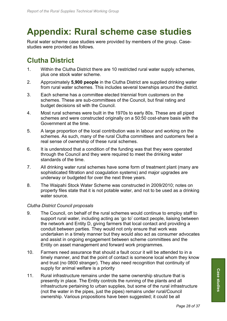# **Appendix: Rural scheme case studies**

Rural water scheme case studies were provided by members of the group. Casestudies were provided as follows.

# **Clutha District**

- 1. Within the Clutha District there are 10 restricted rural water supply schemes, plus one stock water scheme.
- 2. Approximately **5,900 people** in the Clutha District are supplied drinking water from rural water schemes. This includes several townships around the district.
- 3. Each scheme has a committee elected triennial from customers on the schemes. These are sub-committees of the Council, but final rating and budget decisions sit with the Council.
- 4. Most rural schemes were built in the 1970s to early 80s. These are all piped schemes and were constructed originally on a 50:50 cost-share basis with the Government at the time.
- 5. A large proportion of the local contribution was in labour and working on the schemes. As such, many of the rural Clutha committees and customers feel a real sense of ownership of these rural schemes.
- 6. It is understood that a condition of the funding was that they were operated through the Council and they were required to meet the drinking water standards of the time.
- 7. All drinking water rural schemes have some form of treatment plant (many are sophisticated filtration and coagulation systems) and major upgrades are underway or budgeted for over the next three years.
- 8. The Waipahi Stock Water Scheme was constructed in 2009/2010; notes on property files state that it is not potable water, and not to be used as a drinking water source.

### *Clutha District Council proposals*

- 9. The Council, on behalf of the rural schemes would continue to employ staff to support rural water, including acting as 'go to' contact people, liaising between the network and Entity D, giving farmers that local contact and providing a conduit between parties. They would not only ensure that work was undertaken in a timely manner but they would also act as consumer advocates and assist in ongoing engagement between scheme committees and the Entity on asset management and forward work programmes.
- 10. Farmers need assurance that should a fault occur it will be attended to in a timely manner, and that the point of contact is someone local whom they know and trust (no 0800 stranger). They also need recognition that continuity of supply for animal welfare is a priority
- 11. Rural infrastructure remains under the same ownership structure that is presently in place. The Entity controls the running of the plants and all infrastructure pertaining to urban supplies, but some of the rural infrastructure (not the water in the pipes, just the pipes) remains under rural/Council ownership. Various propositions have been suggested; it could be all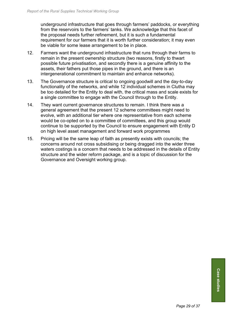underground infrastructure that goes through farmers' paddocks, or everything from the reservoirs to the farmers' tanks. We acknowledge that this facet of the proposal needs further refinement, but it is such a fundamental requirement for our farmers that it is worth further consideration; it may even be viable for some lease arrangement to be in place.

- 12. Farmers want the underground infrastructure that runs through their farms to remain in the present ownership structure (two reasons, firstly to thwart possible future privatisation, and secondly there is a genuine affinity to the assets, their fathers put those pipes in the ground, and there is an intergenerational commitment to maintain and enhance networks).
- 13. The Governance structure is critical to ongoing goodwill and the day-to-day functionality of the networks, and while 12 individual schemes in Clutha may be too detailed for the Entity to deal with, the critical mass and scale exists for a single committee to engage with the Council through to the Entity.
- 14. They want current governance structures to remain. I think there was a general agreement that the present 12 scheme committees might need to evolve, with an additional tier where one representative from each scheme would be co-opted on to a committee of committees, and this group would continue to be supported by the Council to ensure engagement with Entity D on high level asset management and forward work programmes
- 15. Pricing will be the same leap of faith as presently exists with councils; the concerns around not cross subsidising or being dragged into the wider three waters costings is a concern that needs to be addressed in the details of Entity structure and the wider reform package, and is a topic of discussion for the Governance and Oversight working group.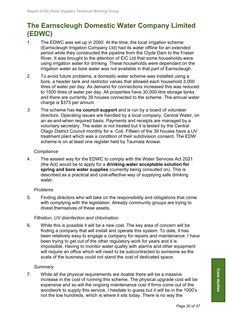# **The Earnscleugh Domestic Water Company Limited (EDWC)**

- 1. The EDWC was set up in 2000. At the time, the local irrigation scheme (Earnscleugh Irrigation Company Ltd) had its water offline for an extended period while they constructed the pipeline from the Clyde Dam to the Fraser River. It was brought to the attention of EIC Ltd that some households were using irrigation water for drinking. These households were dependant on the irrigation water as bore water was not available in that part of Earnscleugh.
- 2. To avoid future problems, a domestic water scheme was installed using a bore, a header tank and restrictor valves that allowed each household 3,000 litres of water per day. As demand for connections increased this was reduced to 1500 litres of water per day. All properties have 30,000-litre storage tanks and there are currently 39 houses connected to the scheme. The annual water charge is \$373 per annum.
- *3.* The scheme has **no council support** and is run by a board of volunteer directors. Operating issues are handled by a local company, Central Water, on an as-and-when required basis. Payments and receipts are managed by a voluntary secretary. The water is not treated but it is tested by the Central Otago District Council monthly for e. Coli. Fifteen of the 39 houses have a UV treatment plant which was a condition of their subdivision consent. The EDW scheme is on at least one register held by Taumata Arowai.

### *Compliance*

4. The easiest way for the EDWC to comply with the Water Services Act 2021 (the Act) would be to apply for a **drinking water acceptable solution for spring and bore water supplies** (currently being consulted on). This is described as a practical and cost-effective way of supplying safe drinking water.

### *Problems*

5. Finding directors who will take on the responsibility and obligations that come with complying with the legislation. Already community groups are trying to divest themselves of these assets.

### *Filtration, UV disinfection and chlorination.*

6. While this is possible it will be a new cost. The key area of concern will be finding a company that will install and operate this system. To date, it has been relatively easy to engage a company for repairs and maintenance. I have been trying to get out of the other regulatory work for years and it is impossible. Having to monitor water quality with alarms and other equipment will require an office which will need to be subcontracted to someone as the scale of the business could not stand the cost of dedicated space.

### *Summary*

7. While all the physical requirements are doable there will be a massive increase in the cost of running this scheme. The physical upgrade cost will be expensive and so will the ongoing maintenance cost if firms come out of the woodwork to supply this service. I hesitate to guess but it will be in the 1000's not the low hundreds, which is where it sits today. There is no way the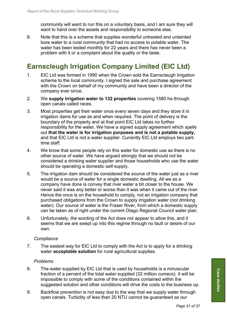community will want to run this on a voluntary basis, and I am sure they will want to hand over the assets and responsibility to someone else.

8. Note that this is a scheme that supplies wonderful untreated and untainted bore water to a rural community that had no access to potable water. The water has been tested monthly for 22 years and there has never been a problem with it or a complaint about the quality or the taste.

# **Earnscleugh Irrigation Company Limited (EIC Ltd)**

- 1. EIC Ltd was formed in 1990 when the Crown sold the Earnscleugh Irrigation scheme to the local community. I signed the sale and purchase agreement with the Crown on behalf of my community and have been a director of the company ever since.
- 2. We **supply irrigation water to 132 properties** covering 1580 ha through open canals called races.
- 3. Most properties get their water once every seven days and they store it in irrigation dams for use as and when required. The point of delivery is the boundary of the property and at that point EIC Ltd takes no further responsibility for the water. We have a signed supply agreement which spells out **that the water is for irrigation purposes and is not a potable supply,** and that EIC Ltd is not a water supplier. Currently EIC Ltd employs two parttime staff.
- 4. We know that some people rely on this water for domestic use as there is no other source of water. We have argued strongly that we should not be considered a drinking water supplier and those households who use the water should be operating a domestic self-supply.
- 5. The irrigation dam should be considered the source of the water just as a river would be a source of water for a single domestic dwelling. All we as a company have done is convey that river water a bit closer to the house. We never said it was any better or worse than it was when it came out of the river. Hence the onus is on the household to comply, not an irrigation company that purchased obligations from the Crown to supply irrigation water (not drinking water). Our source of water is the Fraser River, from which a domestic supply can be taken as of right under the current Otago Regional Council water plan.
- 6. Unfortunately, the wording of the Act does not appear to allow this, and it seems that we are swept up into this regime through no fault or desire of our own.

### *Compliance*

7. The easiest way for EIC Ltd to comply with the Act is to apply for a drinking water **acceptable solution** for rural agricultural supplies.

### *Problems*

- 8. The water supplied by EIC Ltd that is used by households is a minuscular fraction of a percent of the total water supplied (32 million cumecs). It will be impossible to comply with some of the conditions contained within the suggested solution and other conditions will drive the costs to the business up.
- 9. Backflow prevention is not easy due to the way that we supply water through open canals. Turbidity of less than 20 NTU cannot be guaranteed as our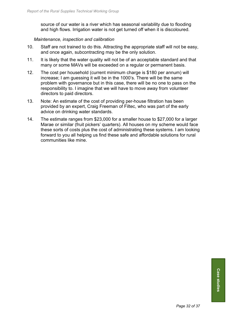source of our water is a river which has seasonal variability due to flooding and high flows. Irrigation water is not get turned off when it is discoloured.

#### *Maintenance, inspection and calibration*

- 10. Staff are not trained to do this. Attracting the appropriate staff will not be easy, and once again, subcontracting may be the only solution.
- 11. It is likely that the water quality will not be of an acceptable standard and that many or some MAVs will be exceeded on a regular or permanent basis.
- 12. The cost per household (current minimum charge is \$180 per annum) will increase; I am guessing it will be in the 1000's. There will be the same problem with governance but in this case, there will be no one to pass on the responsibility to. I imagine that we will have to move away from volunteer directors to paid directors.
- 13. Note: An estimate of the cost of providing per-house filtration has been provided by an expert, Craig Freeman of Filtec, who was part of the early advice on drinking water standards.
- 14. The estimate ranges from \$23,000 for a smaller house to \$27,000 for a larger Marae or similar (fruit pickers' quarters). All houses on my scheme would face these sorts of costs plus the cost of administrating these systems. I am looking forward to you all helping us find these safe and affordable solutions for rural communities like mine.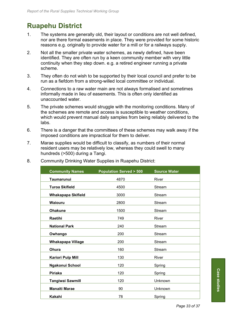# **Ruapehu District**

- 1. The systems are generally old, their layout or conditions are not well defined, nor are there formal easements in place. They were provided for some historic reasons e.g. originally to provide water for a mill or for a railways supply.
- 2. Not all the smaller private water schemes, as newly defined, have been identified. They are often run by a keen community member with very little continuity when they step down. e.g. a retired engineer running a private scheme.
- 3. They often do not wish to be supported by their local council and prefer to be run as a fiefdom from a strong-willed local committee or individual.
- 4. Connections to a raw water main are not always formalised and sometimes informally made in lieu of easements. This is often only identified as unaccounted water.
- 5. The private schemes would struggle with the monitoring conditions. Many of the schemes are remote and access is susceptible to weather conditions, which would prevent manual daily samples from being reliably delivered to the labs.
- 6. There is a danger that the committees of these schemes may walk away if the imposed conditions are impractical for them to deliver.
- 7. Marae supplies would be difficult to classify, as numbers of their normal resident users may be relatively low, whereas they could swell to many hundreds (>500) during a Tangi.

| <b>Community Names</b>    | <b>Population Served &gt; 500</b> | <b>Source Water</b> |
|---------------------------|-----------------------------------|---------------------|
| Taumarunui                | 4870                              | River               |
| Turoa Skifield            | 4500                              | Stream              |
| <b>Whakapapa Skifield</b> | 3000                              | Stream              |
| Waiouru                   | 2800                              | Stream              |
| <b>Ohakune</b>            | 1500                              | Stream              |
| Raetihi                   | 749                               | River               |
| <b>National Park</b>      | 240                               | Stream              |
| Owhango                   | 200                               | Stream              |
| <b>Whakapapa Village</b>  | 200                               | Stream              |
| Ohura                     | 160                               | Stream              |
| <b>Kariori Pulp Mill</b>  | 130                               | River               |
| Ngakonui School           | 120                               | Spring              |
| <b>Piriaka</b>            | 120                               | Spring              |
| <b>Tangiwai Sawmill</b>   | 120                               | Unknown             |
| <b>Manaiti Marae</b>      | 90                                | Unknown             |
| Kakahi                    | 78                                | Spring              |

8. Community Drinking Water Supplies in Ruapehu District: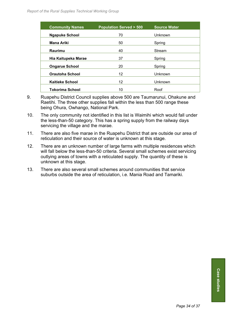| <b>Community Names</b> | <b>Population Served &gt; 500</b> | Source Water |
|------------------------|-----------------------------------|--------------|
| <b>Ngapuke School</b>  | 70                                | Unknown      |
| <b>Mana Ariki</b>      | 50                                | Spring       |
| Raurimu                | 40                                | Stream       |
| Hia Kaitupeka Marae    | 37                                | Spring       |
| <b>Ongarue School</b>  | 20                                | Spring       |
| <b>Orautoha School</b> | 12                                | Unknown      |
| <b>Kaitieke School</b> | 12                                | Unknown      |
| <b>Tokorima School</b> | 10                                | Roof         |

- 9. Ruapehu District Council supplies above 500 are Taumarunui, Ohakune and Raetihi. The three other supplies fall within the less than 500 range these being Ohura, Owhango, National Park.
- 10. The only community not identified in this list is Waimihi which would fall under the less-than-50 category. This has a spring supply from the railway days servicing the village and the marae.
- 11. There are also five marae in the Ruapehu District that are outside our area of reticulation and their source of water is unknown at this stage.
- 12. There are an unknown number of large farms with multiple residences which will fall below the less-than-50 criteria. Several small schemes exist servicing outlying areas of towns with a reticulated supply. The quantity of these is unknown at this stage.
- 13. There are also several small schemes around communities that service suburbs outside the area of reticulation, i.e. Mania Road and Tamariki.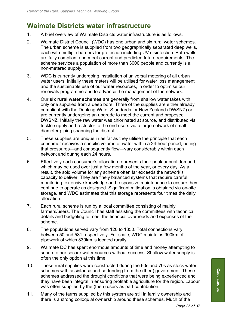# **Waimate Districts water infrastructure**

- 1. A brief overview of Waimate Districts water infrastructure is as follows.
- 2. Waimate District Council (WDC) has one urban and six rural water schemes. The urban scheme is supplied from two geographically separated deep wells, each with multiple barriers for protection including UV disinfection. Both wells are fully compliant and meet current and predicted future requirements. The scheme services a population of more than 3000 people and currently is a non-metered supply.
- 3. WDC is currently undergoing installation of universal metering of all urban water users. Initially these meters will be utilised for water loss management and the sustainable use of our water resources, in order to optimise our renewals programme and to advance the management of the network.
- 4. Our **six rural water schemes** are generally from shallow water takes with only one supplied from a deep bore. Three of the supplies are either already compliant with the Drinking Water Standards for New Zealand (DWSNZ) or are currently undergoing an upgrade to meet the current and proposed DWSNZ. Initially the raw water was chlorinated at source, and distributed via trickle supply and restrictor to the end users via a large network of smalldiameter piping spanning the district.
- 5. These supplies are unique in as far as they utilise the principle that each consumer receives a specific volume of water within a 24-hour period, noting that pressures—and consequently flow—vary considerably within each network and during each 24 hours.
- 6. Effectively each consumer's allocation represents their peak annual demand, which may be used over just a few months of the year, or every day. As a result, the sold volume for any scheme often far exceeds the network's capacity to deliver. They are finely balanced systems that require careful monitoring, extensive knowledge and responsive maintenance to ensure they continue to operate as designed. Significant mitigation is obtained via on-site storage, and WDC estimates that this storage represents four times the daily allocation.
- 7. Each rural scheme is run by a local committee consisting of mainly farmers/users. The Council has staff assisting the committees with technical details and budgeting to meet the financial overheads and expenses of the scheme.
- 8. The populations served vary from 120 to 1350. Total connections vary between 50 and 531 respectively. For scale, WDC maintains 900km of pipework of which 830km is located rurally.
- 9. Waimate DC has spent enormous amounts of time and money attempting to secure other secure water sources without success. Shallow water supply is often the only option at this time.
- 10. These rural supplies were constructed during the 60s and 70s as stock water schemes with assistance and co-funding from the (then) government. These schemes addressed the drought conditions that were being experienced and they have been integral in ensuring profitable agriculture for the region. Labour was often supplied by the (then) users as part contribution.
- 11. Many of the farms supplied by this system are still in family ownership and there is a strong colloquial ownership around these schemes. Much of the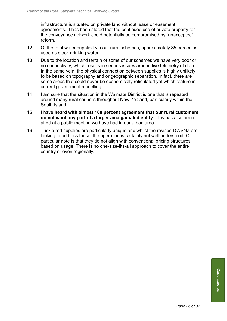infrastructure is situated on private land without lease or easement agreements. It has been stated that the continued use of private property for the conveyance network could potentially be compromised by "unaccepted" reform.

- 12. Of the total water supplied via our rural schemes, approximately 85 percent is used as stock drinking water.
- 13. Due to the location and terrain of some of our schemes we have very poor or no connectivity, which results in serious issues around live telemetry of data. In the same vein, the physical connection between supplies is highly unlikely to be based on topography and or geographic separation. In fact, there are some areas that could never be economically reticulated yet which feature in current government modelling.
- 14. I am sure that the situation in the Waimate District is one that is repeated around many rural councils throughout New Zealand, particularly within the South Island.
- 15. I have **heard with almost 100 percent agreement that our rural customers do not want any part of a larger amalgamated entity**. This has also been aired at a public meeting we have had in our urban area.
- 16. Trickle-fed supplies are particularly unique and whilst the revised DWSNZ are looking to address these, the operation is certainly not well understood. Of particular note is that they do not align with conventional pricing structures based on usage. There is no one-size-fits-all approach to cover the entire country or even regionally.